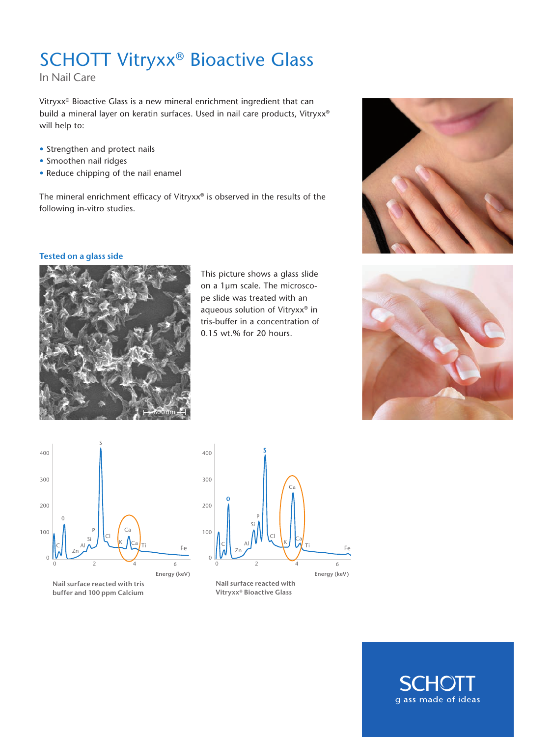# SCHOTT Vitryxx® Bioactive Glass

In Nail Care

Vitryxx® Bioactive Glass is a new mineral enrichment ingredient that can build a mineral layer on keratin surfaces. Used in nail care products, Vitryxx® will help to:

- Strengthen and protect nails
- Smoothen nail ridges
- Reduce chipping of the nail enamel

The mineral enrichment efficacy of Vitryxx® is observed in the results of the following in-vitro studies.

### **Tested on a glass side**



This picture shows a glass slide on a 1µm scale. The microscope slide was treated with an aqueous solution of Vitryxx® in tris-buffer in a concentration of 0.15 wt.% for 20 hours.







**Nail surface reacted with tris buffer and 100 ppm Calcium**



**Nail surface reacted with Vitryxx® Bioactive Glass**